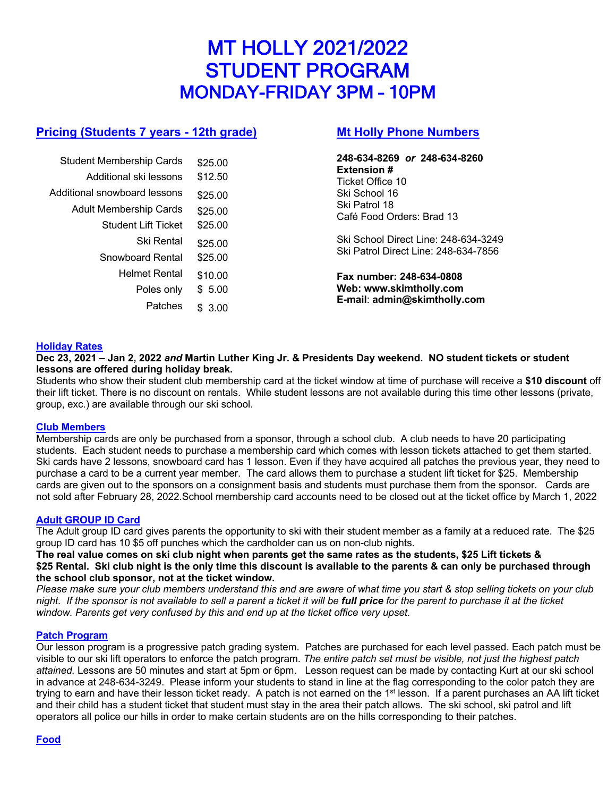# MT HOLLY 2021/2022 STUDENT PROGRAM MONDAY-FRIDAY 3PM – 10PM

# **Pricing (Students 7 years - 12th grade)**

| <b>Student Membership Cards</b> | \$25.00 |  |
|---------------------------------|---------|--|
| Additional ski lessons          | \$12.50 |  |
| Additional snowboard lessons    | \$25.00 |  |
| <b>Adult Membership Cards</b>   | \$25.00 |  |
| <b>Student Lift Ticket</b>      | \$25.00 |  |
| Ski Rental                      | \$25.00 |  |
| Snowboard Rental                | \$25.00 |  |
| <b>Helmet Rental</b>            | \$10.00 |  |
| Poles only                      | \$ 5.00 |  |
| Patches                         | 3.00    |  |
|                                 |         |  |

## **Mt Holly Phone Numbers**

**248-634-8269** *or* **248-634-8260 Extension #** Ticket Office 10 Ski School 16 Ski Patrol 18 Café Food Orders: Brad 13

Ski School Direct Line: 248-634-3249 Ski Patrol Direct Line: 248-634-7856

**Fax number: 248-634-0808 Web: www.skimtholly.com E-mail**: **admin@skimtholly.com**

## **Holiday Rates**

**Dec 23, 2021 – Jan 2, 2022** *and* **Martin Luther King Jr. & Presidents Day weekend. NO student tickets or student lessons are offered during holiday break.**

Students who show their student club membership card at the ticket window at time of purchase will receive a **\$10 discount** off their lift ticket. There is no discount on rentals. While student lessons are not available during this time other lessons (private, group, exc.) are available through our ski school.

## **Club Members**

Membership cards are only be purchased from a sponsor, through a school club. A club needs to have 20 participating students. Each student needs to purchase a membership card which comes with lesson tickets attached to get them started. Ski cards have 2 lessons, snowboard card has 1 lesson. Even if they have acquired all patches the previous year, they need to purchase a card to be a current year member. The card allows them to purchase a student lift ticket for \$25. Membership cards are given out to the sponsors on a consignment basis and students must purchase them from the sponsor. Cards are not sold after February 28, 2022.School membership card accounts need to be closed out at the ticket office by March 1, 2022

## **Adult GROUP ID Card**

The Adult group ID card gives parents the opportunity to ski with their student member as a family at a reduced rate. The \$25 group ID card has 10 \$5 off punches which the cardholder can us on non-club nights.

**The real value comes on ski club night when parents get the same rates as the students, \$25 Lift tickets & \$25 Rental. Ski club night is the only time this discount is available to the parents & can only be purchased through the school club sponsor, not at the ticket window.** 

*Please make sure your club members understand this and are aware of what time you start & stop selling tickets on your club night.* If the sponsor is not available to sell a parent a ticket it will be **full price** for the parent to purchase it at the ticket *window. Parents get very confused by this and end up at the ticket office very upset.*

## **Patch Program**

Our lesson program is a progressive patch grading system. Patches are purchased for each level passed. Each patch must be visible to our ski lift operators to enforce the patch program. *The entire patch set must be visible, not just the highest patch attained.* Lessons are 50 minutes and start at 5pm or 6pm. Lesson request can be made by contacting Kurt at our ski school in advance at 248-634-3249. Please inform your students to stand in line at the flag corresponding to the color patch they are trying to earn and have their lesson ticket ready. A patch is not earned on the 1<sup>st</sup> lesson. If a parent purchases an AA lift ticket and their child has a student ticket that student must stay in the area their patch allows. The ski school, ski patrol and lift operators all police our hills in order to make certain students are on the hills corresponding to their patches.